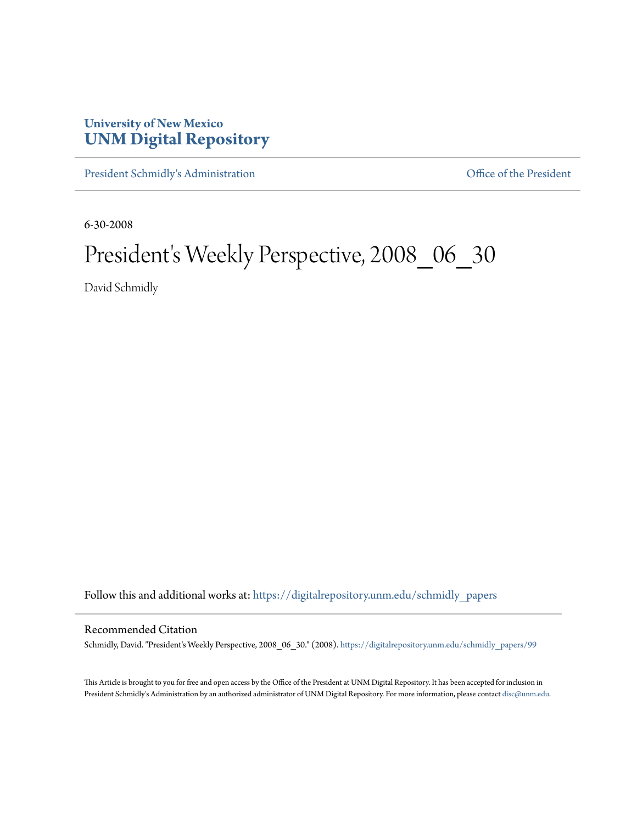## **University of New Mexico [UNM Digital Repository](https://digitalrepository.unm.edu?utm_source=digitalrepository.unm.edu%2Fschmidly_papers%2F99&utm_medium=PDF&utm_campaign=PDFCoverPages)**

[President Schmidly's Administration](https://digitalrepository.unm.edu/schmidly_papers?utm_source=digitalrepository.unm.edu%2Fschmidly_papers%2F99&utm_medium=PDF&utm_campaign=PDFCoverPages) [Office of the President](https://digitalrepository.unm.edu/ofc_president?utm_source=digitalrepository.unm.edu%2Fschmidly_papers%2F99&utm_medium=PDF&utm_campaign=PDFCoverPages)

6-30-2008

## President's Weekly Perspective, 2008\_06\_30

David Schmidly

Follow this and additional works at: [https://digitalrepository.unm.edu/schmidly\\_papers](https://digitalrepository.unm.edu/schmidly_papers?utm_source=digitalrepository.unm.edu%2Fschmidly_papers%2F99&utm_medium=PDF&utm_campaign=PDFCoverPages)

## Recommended Citation

Schmidly, David. "President's Weekly Perspective, 2008\_06\_30." (2008). [https://digitalrepository.unm.edu/schmidly\\_papers/99](https://digitalrepository.unm.edu/schmidly_papers/99?utm_source=digitalrepository.unm.edu%2Fschmidly_papers%2F99&utm_medium=PDF&utm_campaign=PDFCoverPages)

This Article is brought to you for free and open access by the Office of the President at UNM Digital Repository. It has been accepted for inclusion in President Schmidly's Administration by an authorized administrator of UNM Digital Repository. For more information, please contact [disc@unm.edu](mailto:disc@unm.edu).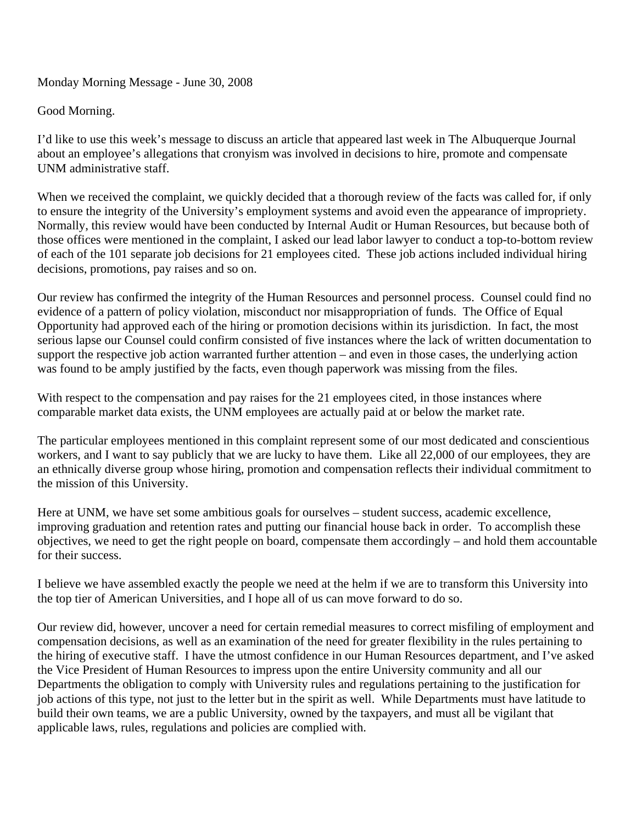Monday Morning Message - June 30, 2008

## Good Morning.

I'd like to use this week's message to discuss an article that appeared last week in The Albuquerque Journal about an employee's allegations that cronyism was involved in decisions to hire, promote and compensate UNM administrative staff.

When we received the complaint, we quickly decided that a thorough review of the facts was called for, if only to ensure the integrity of the University's employment systems and avoid even the appearance of impropriety. Normally, this review would have been conducted by Internal Audit or Human Resources, but because both of those offices were mentioned in the complaint, I asked our lead labor lawyer to conduct a top-to-bottom review of each of the 101 separate job decisions for 21 employees cited. These job actions included individual hiring decisions, promotions, pay raises and so on.

Our review has confirmed the integrity of the Human Resources and personnel process. Counsel could find no evidence of a pattern of policy violation, misconduct nor misappropriation of funds. The Office of Equal Opportunity had approved each of the hiring or promotion decisions within its jurisdiction. In fact, the most serious lapse our Counsel could confirm consisted of five instances where the lack of written documentation to support the respective job action warranted further attention – and even in those cases, the underlying action was found to be amply justified by the facts, even though paperwork was missing from the files.

With respect to the compensation and pay raises for the 21 employees cited, in those instances where comparable market data exists, the UNM employees are actually paid at or below the market rate.

The particular employees mentioned in this complaint represent some of our most dedicated and conscientious workers, and I want to say publicly that we are lucky to have them. Like all 22,000 of our employees, they are an ethnically diverse group whose hiring, promotion and compensation reflects their individual commitment to the mission of this University.

Here at UNM, we have set some ambitious goals for ourselves – student success, academic excellence, improving graduation and retention rates and putting our financial house back in order. To accomplish these objectives, we need to get the right people on board, compensate them accordingly – and hold them accountable for their success.

I believe we have assembled exactly the people we need at the helm if we are to transform this University into the top tier of American Universities, and I hope all of us can move forward to do so.

Our review did, however, uncover a need for certain remedial measures to correct misfiling of employment and compensation decisions, as well as an examination of the need for greater flexibility in the rules pertaining to the hiring of executive staff. I have the utmost confidence in our Human Resources department, and I've asked the Vice President of Human Resources to impress upon the entire University community and all our Departments the obligation to comply with University rules and regulations pertaining to the justification for job actions of this type, not just to the letter but in the spirit as well. While Departments must have latitude to build their own teams, we are a public University, owned by the taxpayers, and must all be vigilant that applicable laws, rules, regulations and policies are complied with.